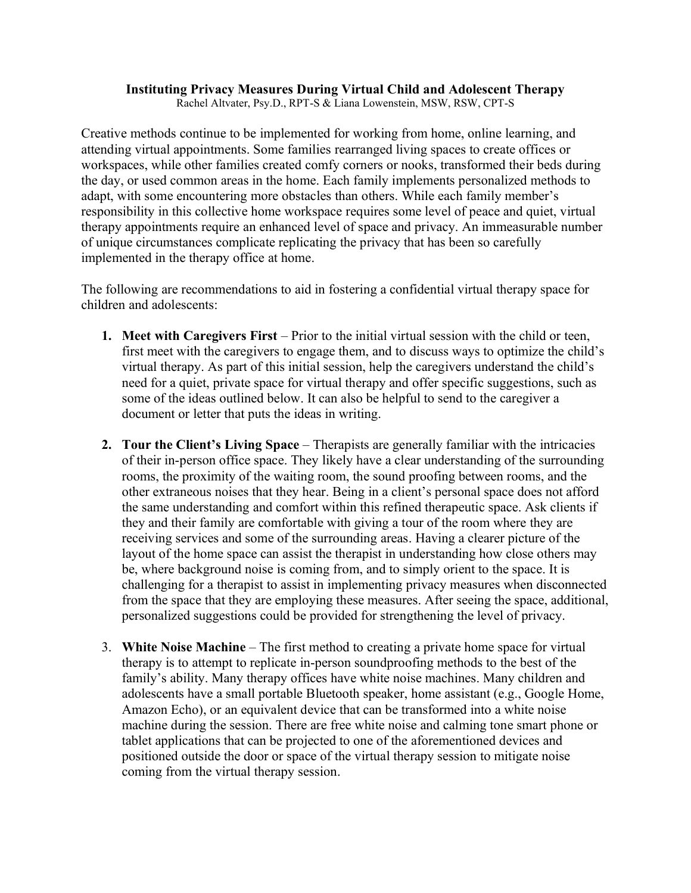## **Instituting Privacy Measures During Virtual Child and Adolescent Therapy**

Rachel Altvater, Psy.D., RPT-S & Liana Lowenstein, MSW, RSW, CPT-S

Creative methods continue to be implemented for working from home, online learning, and attending virtual appointments. Some families rearranged living spaces to create offices or workspaces, while other families created comfy corners or nooks, transformed their beds during the day, or used common areas in the home. Each family implements personalized methods to adapt, with some encountering more obstacles than others. While each family member's responsibility in this collective home workspace requires some level of peace and quiet, virtual therapy appointments require an enhanced level of space and privacy. An immeasurable number of unique circumstances complicate replicating the privacy that has been so carefully implemented in the therapy office at home.

The following are recommendations to aid in fostering a confidential virtual therapy space for children and adolescents:

- **1. Meet with Caregivers First** Prior to the initial virtual session with the child or teen, first meet with the caregivers to engage them, and to discuss ways to optimize the child's virtual therapy. As part of this initial session, help the caregivers understand the child's need for a quiet, private space for virtual therapy and offer specific suggestions, such as some of the ideas outlined below. It can also be helpful to send to the caregiver a document or letter that puts the ideas in writing.
- **2. Tour the Client's Living Space**  Therapists are generally familiar with the intricacies of their in-person office space. They likely have a clear understanding of the surrounding rooms, the proximity of the waiting room, the sound proofing between rooms, and the other extraneous noises that they hear. Being in a client's personal space does not afford the same understanding and comfort within this refined therapeutic space. Ask clients if they and their family are comfortable with giving a tour of the room where they are receiving services and some of the surrounding areas. Having a clearer picture of the layout of the home space can assist the therapist in understanding how close others may be, where background noise is coming from, and to simply orient to the space. It is challenging for a therapist to assist in implementing privacy measures when disconnected from the space that they are employing these measures. After seeing the space, additional, personalized suggestions could be provided for strengthening the level of privacy.
- 3. **White Noise Machine**  The first method to creating a private home space for virtual therapy is to attempt to replicate in-person soundproofing methods to the best of the family's ability. Many therapy offices have white noise machines. Many children and adolescents have a small portable Bluetooth speaker, home assistant (e.g., Google Home, Amazon Echo), or an equivalent device that can be transformed into a white noise machine during the session. There are free white noise and calming tone smart phone or tablet applications that can be projected to one of the aforementioned devices and positioned outside the door or space of the virtual therapy session to mitigate noise coming from the virtual therapy session.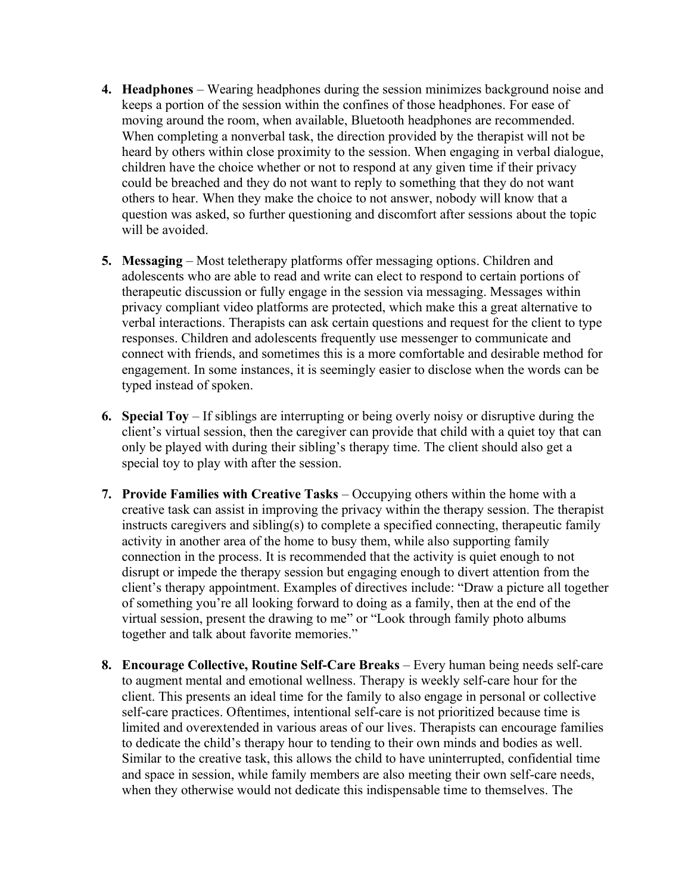- **4. Headphones**  Wearing headphones during the session minimizes background noise and keeps a portion of the session within the confines of those headphones. For ease of moving around the room, when available, Bluetooth headphones are recommended. When completing a nonverbal task, the direction provided by the therapist will not be heard by others within close proximity to the session. When engaging in verbal dialogue, children have the choice whether or not to respond at any given time if their privacy could be breached and they do not want to reply to something that they do not want others to hear. When they make the choice to not answer, nobody will know that a question was asked, so further questioning and discomfort after sessions about the topic will be avoided.
- **5. Messaging**  Most teletherapy platforms offer messaging options. Children and adolescents who are able to read and write can elect to respond to certain portions of therapeutic discussion or fully engage in the session via messaging. Messages within privacy compliant video platforms are protected, which make this a great alternative to verbal interactions. Therapists can ask certain questions and request for the client to type responses. Children and adolescents frequently use messenger to communicate and connect with friends, and sometimes this is a more comfortable and desirable method for engagement. In some instances, it is seemingly easier to disclose when the words can be typed instead of spoken.
- **6. Special Toy**  If siblings are interrupting or being overly noisy or disruptive during the client's virtual session, then the caregiver can provide that child with a quiet toy that can only be played with during their sibling's therapy time. The client should also get a special toy to play with after the session.
- **7. Provide Families with Creative Tasks**  Occupying others within the home with a creative task can assist in improving the privacy within the therapy session. The therapist instructs caregivers and sibling(s) to complete a specified connecting, therapeutic family activity in another area of the home to busy them, while also supporting family connection in the process. It is recommended that the activity is quiet enough to not disrupt or impede the therapy session but engaging enough to divert attention from the client's therapy appointment. Examples of directives include: "Draw a picture all together of something you're all looking forward to doing as a family, then at the end of the virtual session, present the drawing to me" or "Look through family photo albums together and talk about favorite memories."
- **8. Encourage Collective, Routine Self-Care Breaks**  Every human being needs self-care to augment mental and emotional wellness. Therapy is weekly self-care hour for the client. This presents an ideal time for the family to also engage in personal or collective self-care practices. Oftentimes, intentional self-care is not prioritized because time is limited and overextended in various areas of our lives. Therapists can encourage families to dedicate the child's therapy hour to tending to their own minds and bodies as well. Similar to the creative task, this allows the child to have uninterrupted, confidential time and space in session, while family members are also meeting their own self-care needs, when they otherwise would not dedicate this indispensable time to themselves. The